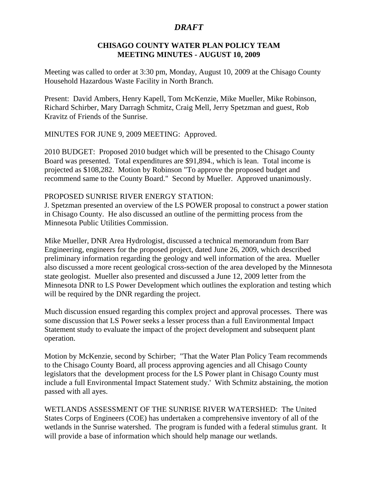## *DRAFT*

## **CHISAGO COUNTY WATER PLAN POLICY TEAM MEETING MINUTES - AUGUST 10, 2009**

Meeting was called to order at 3:30 pm, Monday, August 10, 2009 at the Chisago County Household Hazardous Waste Facility in North Branch.

Present: David Ambers, Henry Kapell, Tom McKenzie, Mike Mueller, Mike Robinson, Richard Schirber, Mary Darragh Schmitz, Craig Mell, Jerry Spetzman and guest, Rob Kravitz of Friends of the Sunrise.

MINUTES FOR JUNE 9, 2009 MEETING: Approved.

2010 BUDGET: Proposed 2010 budget which will be presented to the Chisago County Board was presented. Total expenditures are \$91,894., which is lean. Total income is projected as \$108,282. Motion by Robinson "To approve the proposed budget and recommend same to the County Board." Second by Mueller. Approved unanimously.

## PROPOSED SUNRISE RIVER ENERGY STATION:

J. Spetzman presented an overview of the LS POWER proposal to construct a power station in Chisago County. He also discussed an outline of the permitting process from the Minnesota Public Utilities Commission.

Mike Mueller, DNR Area Hydrologist, discussed a technical memorandum from Barr Engineering, engineers for the proposed project, dated June 26, 2009, which described preliminary information regarding the geology and well information of the area. Mueller also discussed a more recent geological cross-section of the area developed by the Minnesota state geologist. Mueller also presented and discussed a June 12, 2009 letter from the Minnesota DNR to LS Power Development which outlines the exploration and testing which will be required by the DNR regarding the project.

Much discussion ensued regarding this complex project and approval processes. There was some discussion that LS Power seeks a lesser process than a full Environmental Impact Statement study to evaluate the impact of the project development and subsequent plant operation.

Motion by McKenzie, second by Schirber; "That the Water Plan Policy Team recommends to the Chisago County Board, all process approving agencies and all Chisago County legislators that the development process for the LS Power plant in Chisago County must include a full Environmental Impact Statement study.' With Schmitz abstaining, the motion passed with all ayes.

WETLANDS ASSESSMENT OF THE SUNRISE RIVER WATERSHED: The United States Corps of Engineers (COE) has undertaken a comprehensive inventory of all of the wetlands in the Sunrise watershed. The program is funded with a federal stimulus grant. It will provide a base of information which should help manage our wetlands.